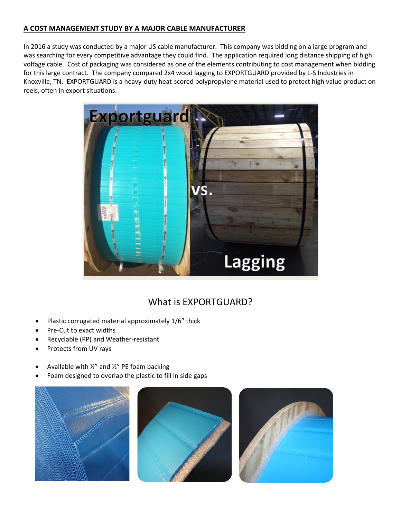## **A COST MANAGEMENT STUDY BY A MAJOR CABLE MANUFACTURER**

In 2016 a study was conducted by a major US cable manufacturer. This company was bidding on a large program and was searching for every competitive advantage they could find. The application required long distance shipping of high voltage cable. Cost of packaging was considered as one of the elements contributing to cost management when bidding for this large contract. The company compared 2x4 wood lagging to EXPORTGUARD provided by L-S Industries in Knoxville, TN. EXPORTGUARD is a heavy-duty heat-scored polypropylene material used to protect high value product on reels, often in export situations.



# What is EXPORTGUARD?

- Plastic corrugated material approximately 1/6" thick
- Pre-Cut to exact widths
- Recyclable (PP) and Weather-resistant
- Protects from UV rays
- Available with  $\frac{1}{4}$  and  $\frac{1}{2}$  PE foam backing
- Foam designed to overlap the plastic to fill in side gaps





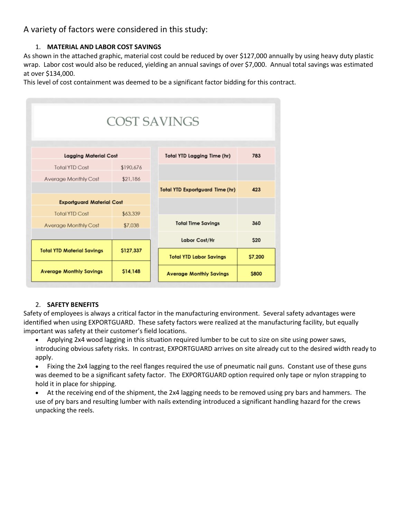# A variety of factors were considered in this study:

#### 1. **MATERIAL AND LABOR COST SAVINGS**

As shown in the attached graphic, material cost could be reduced by over \$127,000 annually by using heavy duty plastic wrap. Labor cost would also be reduced, yielding an annual savings of over \$7,000. Annual total savings was estimated at over \$134,000.

This level of cost containment was deemed to be a significant factor bidding for this contract.

|                                   |           | <b>COST SAVINGS</b>                    |               |
|-----------------------------------|-----------|----------------------------------------|---------------|
| <b>Lagaina Material Cost</b>      |           | <b>Total YTD Lagging Time (hr)</b>     | 783           |
| Total YTD Cost                    | \$190,676 |                                        |               |
| Average Monthly Cost              | \$21,186  |                                        |               |
|                                   |           | <b>Total YTD Exportguard Time (hr)</b> | 423           |
| <b>Exportguard Material Cost</b>  |           |                                        |               |
| Total YTD Cost                    | \$63,339  |                                        |               |
| Average Monthly Cost              | \$7,038   | <b>Total Time Savings</b>              | 360           |
|                                   |           | Labor Cost/Hr                          | <b>S20</b>    |
| <b>Total YTD Material Savings</b> | \$127,337 | <b>Total YTD Labor Savings</b>         | <b>S7,200</b> |
| <b>Average Monthly Savings</b>    | \$14,148  | <b>Average Monthly Savings</b>         | \$800         |

#### 2. **SAFETY BENEFITS**

Safety of employees is always a critical factor in the manufacturing environment. Several safety advantages were identified when using EXPORTGUARD. These safety factors were realized at the manufacturing facility, but equally important was safety at their customer's field locations.

• Applying 2x4 wood lagging in this situation required lumber to be cut to size on site using power saws, introducing obvious safety risks. In contrast, EXPORTGUARD arrives on site already cut to the desired width ready to apply.

• Fixing the 2x4 lagging to the reel flanges required the use of pneumatic nail guns. Constant use of these guns was deemed to be a significant safety factor. The EXPORTGUARD option required only tape or nylon strapping to hold it in place for shipping.

• At the receiving end of the shipment, the 2x4 lagging needs to be removed using pry bars and hammers. The use of pry bars and resulting lumber with nails extending introduced a significant handling hazard for the crews unpacking the reels.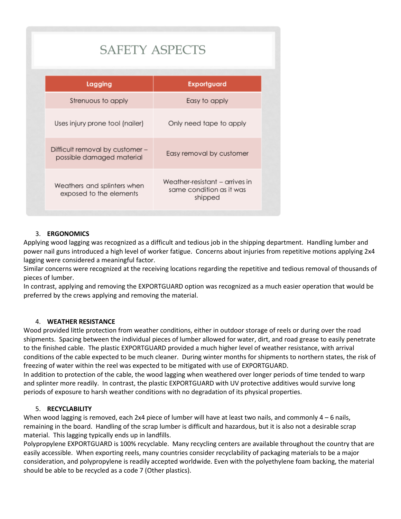| <b>SAFETY ASPECTS</b>                                        |                                                                       |  |  |
|--------------------------------------------------------------|-----------------------------------------------------------------------|--|--|
| Lagging                                                      | <b>Exportguard</b>                                                    |  |  |
| Strenuous to apply                                           | Easy to apply                                                         |  |  |
| Uses injury prone tool (nailer)                              | Only need tape to apply                                               |  |  |
| Difficult removal by customer -<br>possible damaged material | Easy removal by customer                                              |  |  |
| Weathers and splinters when<br>exposed to the elements       | Weather-resistant – arrives in<br>same condition as it was<br>shipped |  |  |

### 3. **ERGONOMICS**

Applying wood lagging was recognized as a difficult and tedious job in the shipping department. Handling lumber and power nail guns introduced a high level of worker fatigue. Concerns about injuries from repetitive motions applying 2x4 lagging were considered a meaningful factor.

Similar concerns were recognized at the receiving locations regarding the repetitive and tedious removal of thousands of pieces of lumber.

In contrast, applying and removing the EXPORTGUARD option was recognized as a much easier operation that would be preferred by the crews applying and removing the material.

#### 4. **WEATHER RESISTANCE**

Wood provided little protection from weather conditions, either in outdoor storage of reels or during over the road shipments. Spacing between the individual pieces of lumber allowed for water, dirt, and road grease to easily penetrate to the finished cable. The plastic EXPORTGUARD provided a much higher level of weather resistance, with arrival conditions of the cable expected to be much cleaner. During winter months for shipments to northern states, the risk of freezing of water within the reel was expected to be mitigated with use of EXPORTGUARD.

In addition to protection of the cable, the wood lagging when weathered over longer periods of time tended to warp and splinter more readily. In contrast, the plastic EXPORTGUARD with UV protective additives would survive long periods of exposure to harsh weather conditions with no degradation of its physical properties.

#### 5. **RECYCLABILITY**

When wood lagging is removed, each 2x4 piece of lumber will have at least two nails, and commonly 4 – 6 nails, remaining in the board. Handling of the scrap lumber is difficult and hazardous, but it is also not a desirable scrap material. This lagging typically ends up in landfills.

Polypropylene EXPORTGUARD is 100% recyclable. Many recycling centers are available throughout the country that are easily accessible. When exporting reels, many countries consider recyclability of packaging materials to be a major consideration, and polypropylene is readily accepted worldwide. Even with the polyethylene foam backing, the material should be able to be recycled as a code 7 (Other plastics).